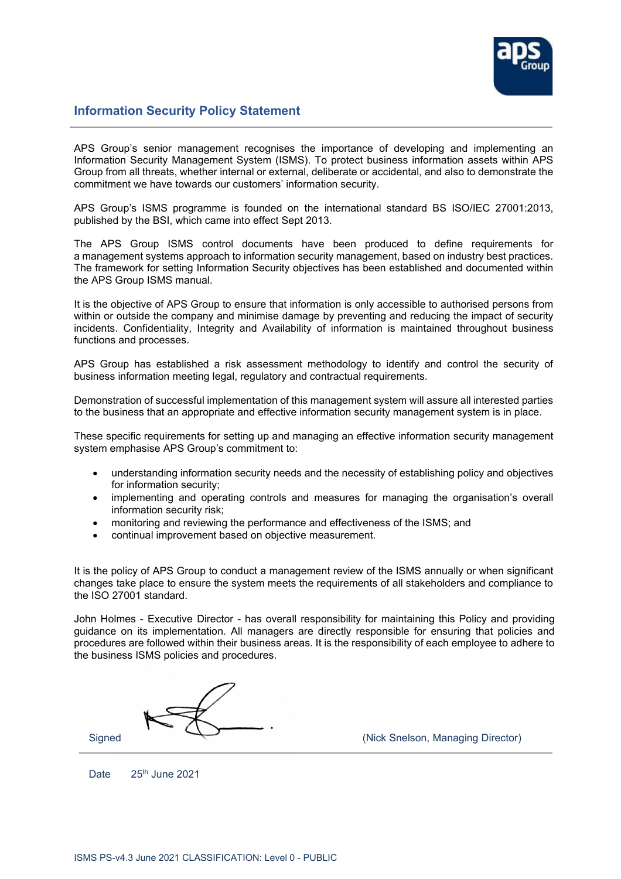

## **Information Security Policy Statement**

APS Group's senior management recognises the importance of developing and implementing an Information Security Management System (ISMS). To protect business information assets within APS Group from all threats, whether internal or external, deliberate or accidental, and also to demonstrate the commitment we have towards our customers' information security.

APS Group's ISMS programme is founded on the international standard BS ISO/IEC 27001:2013, published by the BSI, which came into effect Sept 2013.

The APS Group ISMS control documents have been produced to define requirements for a management systems approach to information security management, based on industry best practices. The framework for setting Information Security objectives has been established and documented within the APS Group ISMS manual.

It is the objective of APS Group to ensure that information is only accessible to authorised persons from within or outside the company and minimise damage by preventing and reducing the impact of security incidents. Confidentiality, Integrity and Availability of information is maintained throughout business functions and processes.

APS Group has established a risk assessment methodology to identify and control the security of business information meeting legal, regulatory and contractual requirements.

Demonstration of successful implementation of this management system will assure all interested parties to the business that an appropriate and effective information security management system is in place.

These specific requirements for setting up and managing an effective information security management system emphasise APS Group's commitment to:

- understanding information security needs and the necessity of establishing policy and objectives for information security;
- implementing and operating controls and measures for managing the organisation's overall information security risk;
- monitoring and reviewing the performance and effectiveness of the ISMS; and
- continual improvement based on objective measurement.

It is the policy of APS Group to conduct a management review of the ISMS annually or when significant changes take place to ensure the system meets the requirements of all stakeholders and compliance to the ISO 27001 standard.

John Holmes - Executive Director - has overall responsibility for maintaining this Policy and providing guidance on its implementation. All managers are directly responsible for ensuring that policies and procedures are followed within their business areas. It is the responsibility of each employee to adhere to the business ISMS policies and procedures.



Date 25<sup>th</sup> June 2021